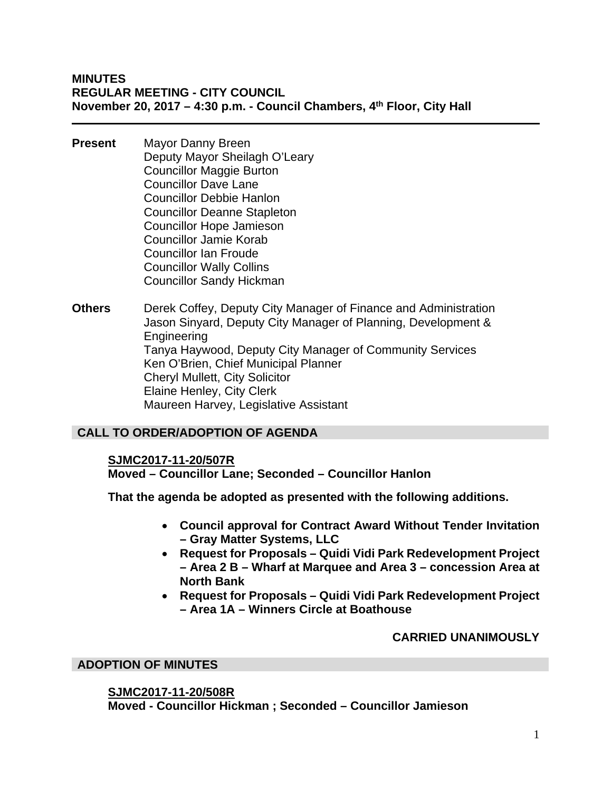- **Present** Mayor Danny Breen Deputy Mayor Sheilagh O'Leary Councillor Maggie Burton Councillor Dave Lane Councillor Debbie Hanlon Councillor Deanne Stapleton Councillor Hope Jamieson Councillor Jamie Korab Councillor Ian Froude Councillor Wally Collins Councillor Sandy Hickman
- **Others** Derek Coffey, Deputy City Manager of Finance and Administration Jason Sinyard, Deputy City Manager of Planning, Development & Engineering Tanya Haywood, Deputy City Manager of Community Services Ken O'Brien, Chief Municipal Planner Cheryl Mullett, City Solicitor Elaine Henley, City Clerk Maureen Harvey, Legislative Assistant

# **CALL TO ORDER/ADOPTION OF AGENDA**

#### **SJMC2017-11-20/507R**

**Moved – Councillor Lane; Seconded – Councillor Hanlon** 

**That the agenda be adopted as presented with the following additions.** 

- **Council approval for Contract Award Without Tender Invitation – Gray Matter Systems, LLC**
- **Request for Proposals Quidi Vidi Park Redevelopment Project – Area 2 B – Wharf at Marquee and Area 3 – concession Area at North Bank**
- **Request for Proposals Quidi Vidi Park Redevelopment Project – Area 1A – Winners Circle at Boathouse**

#### **CARRIED UNANIMOUSLY**

#### **ADOPTION OF MINUTES**

#### **SJMC2017-11-20/508R**

**Moved - Councillor Hickman ; Seconded – Councillor Jamieson**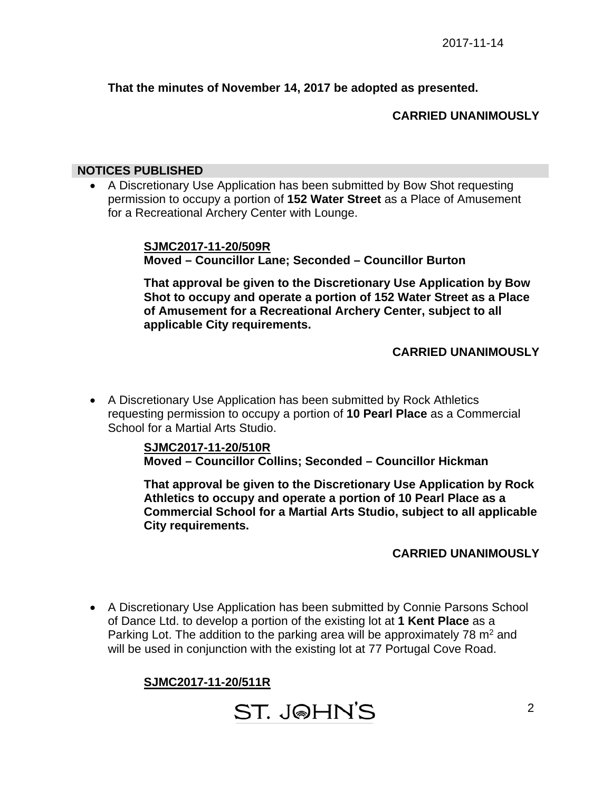#### **That the minutes of November 14, 2017 be adopted as presented.**

#### **CARRIED UNANIMOUSLY**

#### **NOTICES PUBLISHED**

 A Discretionary Use Application has been submitted by Bow Shot requesting permission to occupy a portion of **152 Water Street** as a Place of Amusement for a Recreational Archery Center with Lounge.

> **SJMC2017-11-20/509R Moved – Councillor Lane; Seconded – Councillor Burton**

**That approval be given to the Discretionary Use Application by Bow Shot to occupy and operate a portion of 152 Water Street as a Place of Amusement for a Recreational Archery Center, subject to all applicable City requirements.** 

#### **CARRIED UNANIMOUSLY**

 A Discretionary Use Application has been submitted by Rock Athletics requesting permission to occupy a portion of **10 Pearl Place** as a Commercial School for a Martial Arts Studio.

> **SJMC2017-11-20/510R Moved – Councillor Collins; Seconded – Councillor Hickman**

**That approval be given to the Discretionary Use Application by Rock Athletics to occupy and operate a portion of 10 Pearl Place as a Commercial School for a Martial Arts Studio, subject to all applicable City requirements.** 

#### **CARRIED UNANIMOUSLY**

 A Discretionary Use Application has been submitted by Connie Parsons School of Dance Ltd. to develop a portion of the existing lot at **1 Kent Place** as a Parking Lot. The addition to the parking area will be approximately 78  $m<sup>2</sup>$  and will be used in conjunction with the existing lot at 77 Portugal Cove Road.

# **SJMC2017-11-20/511R**

**ST. JOHN'S**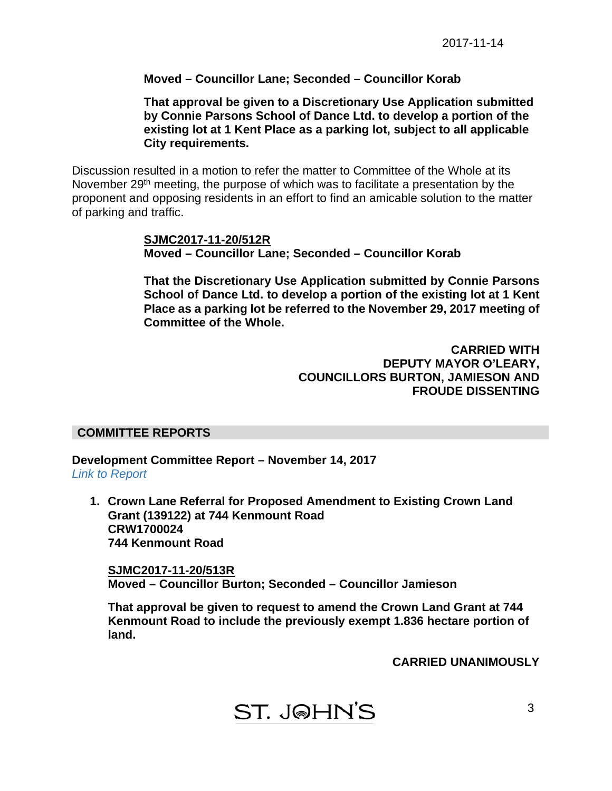#### **Moved – Councillor Lane; Seconded – Councillor Korab**

**That approval be given to a Discretionary Use Application submitted by Connie Parsons School of Dance Ltd. to develop a portion of the existing lot at 1 Kent Place as a parking lot, subject to all applicable City requirements.** 

Discussion resulted in a motion to refer the matter to Committee of the Whole at its November 29<sup>th</sup> meeting, the purpose of which was to facilitate a presentation by the proponent and opposing residents in an effort to find an amicable solution to the matter of parking and traffic.

> **SJMC2017-11-20/512R Moved – Councillor Lane; Seconded – Councillor Korab**

**That the Discretionary Use Application submitted by Connie Parsons School of Dance Ltd. to develop a portion of the existing lot at 1 Kent Place as a parking lot be referred to the November 29, 2017 meeting of Committee of the Whole.** 

> **CARRIED WITH DEPUTY MAYOR O'LEARY, COUNCILLORS BURTON, JAMIESON AND FROUDE DISSENTING**

#### **COMMITTEE REPORTS**

**Development Committee Report – November 14, 2017**  *[Link to Report](#page-9-0)* 

**1. Crown Lane Referral for Proposed Amendment to Existing Crown Land Grant (139122) at 744 Kenmount Road CRW1700024 744 Kenmount Road** 

**SJMC2017-11-20/513R Moved – Councillor Burton; Seconded – Councillor Jamieson** 

**That approval be given to request to amend the Crown Land Grant at 744 Kenmount Road to include the previously exempt 1.836 hectare portion of land.** 

**CARRIED UNANIMOUSLY**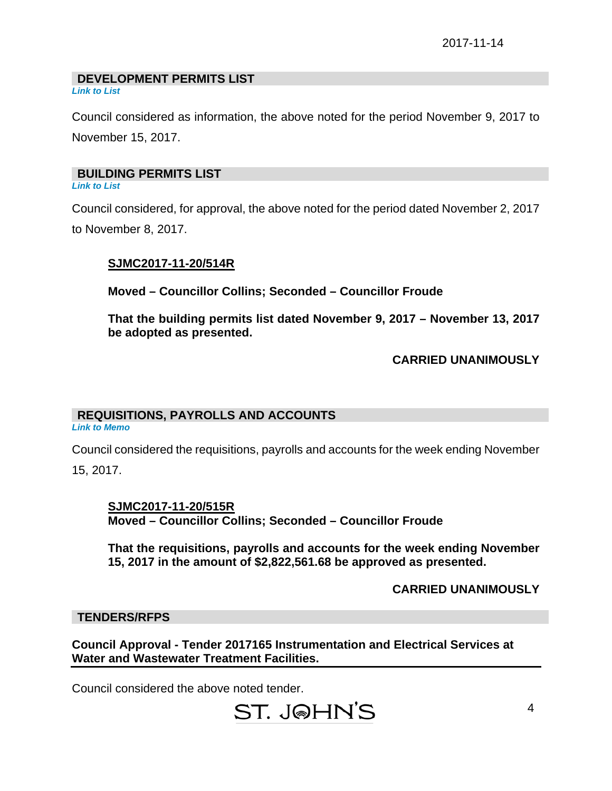#### **DEVELOPMENT PERMITS LIST**

*[Link to List](#page-10-0)* 

Council considered as information, the above noted for the period November 9, 2017 to November 15, 2017.

#### **BUILDING PERMITS LIST**

*[Link to List](#page-11-0)* 

Council considered, for approval, the above noted for the period dated November 2, 2017 to November 8, 2017.

#### **SJMC2017-11-20/514R**

**Moved – Councillor Collins; Seconded – Councillor Froude** 

**That the building permits list dated November 9, 2017 – November 13, 2017 be adopted as presented.** 

#### **CARRIED UNANIMOUSLY**

# **REQUISITIONS, PAYROLLS AND ACCOUNTS**

*Link to Memo* 

Council considered the requisitions, payrolls and accounts for the week ending November

15, 2017.

**SJMC2017-11-20/515R Moved – Councillor Collins; Seconded – Councillor Froude** 

**That the requisitions, payrolls and accounts for the week ending November 15, 2017 in the amount of \$2,822,561.68 be approved as presented.** 

#### **CARRIED UNANIMOUSLY**

#### **TENDERS/RFPS**

**Council Approval - Tender 2017165 Instrumentation and Electrical Services at Water and Wastewater Treatment Facilities.** 

Council considered the above noted tender.

# ST. J@HN'S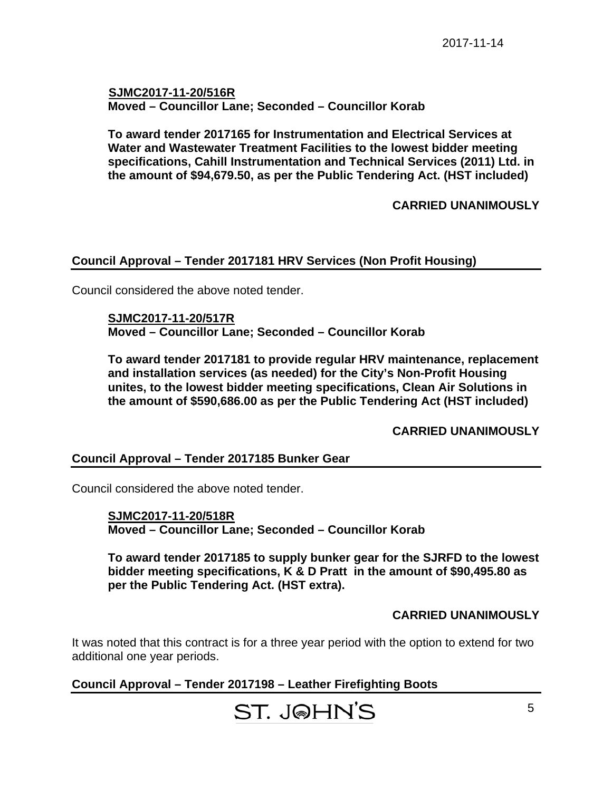**SJMC2017-11-20/516R Moved – Councillor Lane; Seconded – Councillor Korab** 

**To award tender 2017165 for Instrumentation and Electrical Services at Water and Wastewater Treatment Facilities to the lowest bidder meeting specifications, Cahill Instrumentation and Technical Services (2011) Ltd. in the amount of \$94,679.50, as per the Public Tendering Act. (HST included)** 

#### **CARRIED UNANIMOUSLY**

#### **Council Approval – Tender 2017181 HRV Services (Non Profit Housing)**

Council considered the above noted tender.

 **SJMC2017-11-20/517R Moved – Councillor Lane; Seconded – Councillor Korab** 

**To award tender 2017181 to provide regular HRV maintenance, replacement and installation services (as needed) for the City's Non-Profit Housing unites, to the lowest bidder meeting specifications, Clean Air Solutions in the amount of \$590,686.00 as per the Public Tendering Act (HST included)** 

**CARRIED UNANIMOUSLY** 

#### **Council Approval – Tender 2017185 Bunker Gear**

Council considered the above noted tender.

 **SJMC2017-11-20/518R Moved – Councillor Lane; Seconded – Councillor Korab** 

**To award tender 2017185 to supply bunker gear for the SJRFD to the lowest bidder meeting specifications, K & D Pratt in the amount of \$90,495.80 as per the Public Tendering Act. (HST extra).** 

#### **CARRIED UNANIMOUSLY**

It was noted that this contract is for a three year period with the option to extend for two additional one year periods.

# **Council Approval – Tender 2017198 – Leather Firefighting Boots**

ST. J@HN'S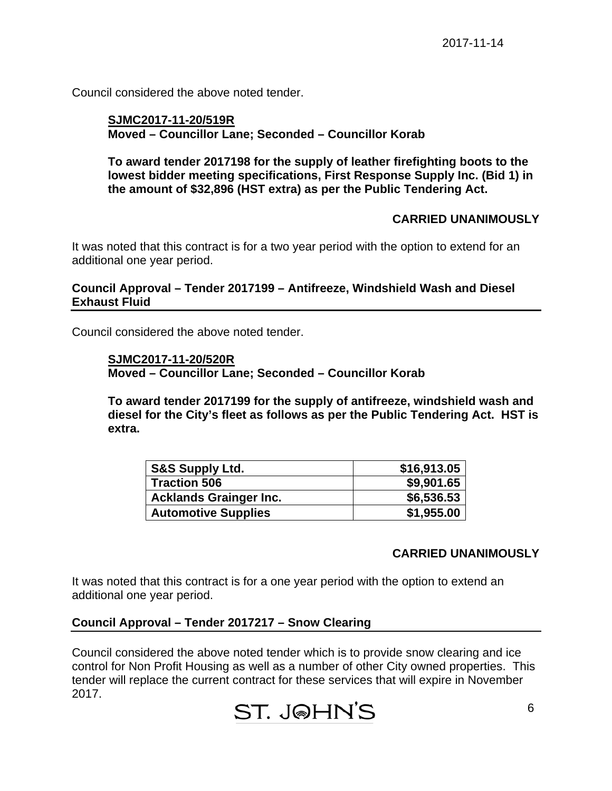Council considered the above noted tender.

#### **SJMC2017-11-20/519R Moved – Councillor Lane; Seconded – Councillor Korab**

**To award tender 2017198 for the supply of leather firefighting boots to the lowest bidder meeting specifications, First Response Supply Inc. (Bid 1) in the amount of \$32,896 (HST extra) as per the Public Tendering Act.** 

#### **CARRIED UNANIMOUSLY**

It was noted that this contract is for a two year period with the option to extend for an additional one year period.

#### **Council Approval – Tender 2017199 – Antifreeze, Windshield Wash and Diesel Exhaust Fluid**

Council considered the above noted tender.

#### **SJMC2017-11-20/520R**

**Moved – Councillor Lane; Seconded – Councillor Korab** 

**To award tender 2017199 for the supply of antifreeze, windshield wash and diesel for the City's fleet as follows as per the Public Tendering Act. HST is extra.** 

| <b>S&amp;S Supply Ltd.</b>    | \$16,913.05 |
|-------------------------------|-------------|
| <b>Traction 506</b>           | \$9,901.65  |
| <b>Acklands Grainger Inc.</b> | \$6,536.53  |
| <b>Automotive Supplies</b>    | \$1,955.00  |

#### **CARRIED UNANIMOUSLY**

It was noted that this contract is for a one year period with the option to extend an additional one year period.

#### **Council Approval – Tender 2017217 – Snow Clearing**

Council considered the above noted tender which is to provide snow clearing and ice control for Non Profit Housing as well as a number of other City owned properties. This tender will replace the current contract for these services that will expire in November 2017.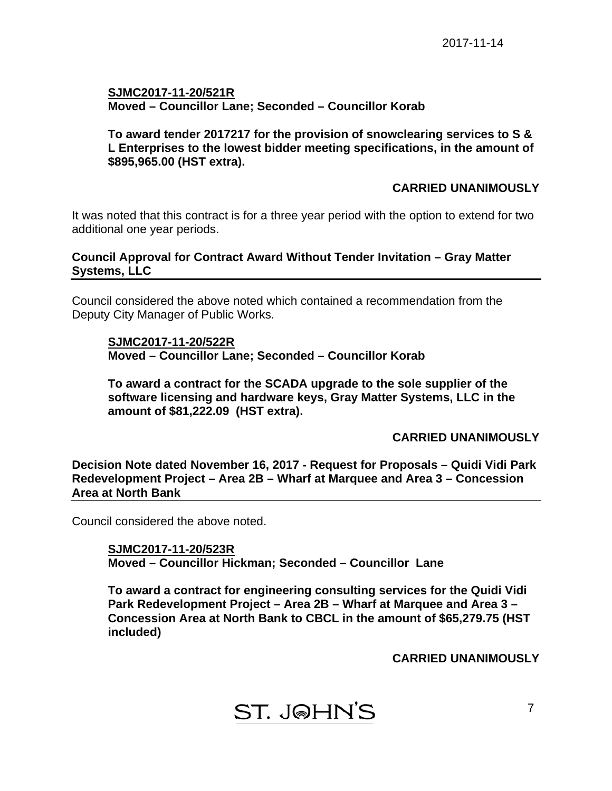#### **SJMC2017-11-20/521R Moved – Councillor Lane; Seconded – Councillor Korab**

#### **To award tender 2017217 for the provision of snowclearing services to S & L Enterprises to the lowest bidder meeting specifications, in the amount of \$895,965.00 (HST extra).**

#### **CARRIED UNANIMOUSLY**

It was noted that this contract is for a three year period with the option to extend for two additional one year periods.

#### **Council Approval for Contract Award Without Tender Invitation – Gray Matter Systems, LLC**

Council considered the above noted which contained a recommendation from the Deputy City Manager of Public Works.

#### **SJMC2017-11-20/522R Moved – Councillor Lane; Seconded – Councillor Korab**

**To award a contract for the SCADA upgrade to the sole supplier of the software licensing and hardware keys, Gray Matter Systems, LLC in the amount of \$81,222.09 (HST extra).** 

**CARRIED UNANIMOUSLY** 

**Decision Note dated November 16, 2017 - Request for Proposals – Quidi Vidi Park Redevelopment Project – Area 2B – Wharf at Marquee and Area 3 – Concession Area at North Bank** 

Council considered the above noted.

**SJMC2017-11-20/523R Moved – Councillor Hickman; Seconded – Councillor Lane** 

**To award a contract for engineering consulting services for the Quidi Vidi Park Redevelopment Project – Area 2B – Wharf at Marquee and Area 3 – Concession Area at North Bank to CBCL in the amount of \$65,279.75 (HST included)** 

**CARRIED UNANIMOUSLY**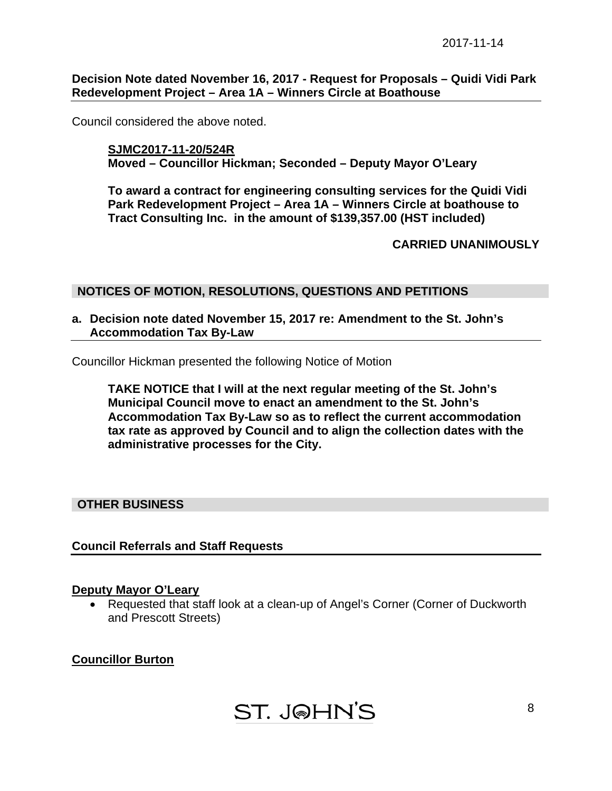**Decision Note dated November 16, 2017 - Request for Proposals – Quidi Vidi Park Redevelopment Project – Area 1A – Winners Circle at Boathouse** 

Council considered the above noted.

**SJMC2017-11-20/524R Moved – Councillor Hickman; Seconded – Deputy Mayor O'Leary** 

**To award a contract for engineering consulting services for the Quidi Vidi Park Redevelopment Project – Area 1A – Winners Circle at boathouse to Tract Consulting Inc. in the amount of \$139,357.00 (HST included)** 

**CARRIED UNANIMOUSLY** 

#### **NOTICES OF MOTION, RESOLUTIONS, QUESTIONS AND PETITIONS**

**a. Decision note dated November 15, 2017 re: Amendment to the St. John's Accommodation Tax By-Law** 

Councillor Hickman presented the following Notice of Motion

**TAKE NOTICE that I will at the next regular meeting of the St. John's Municipal Council move to enact an amendment to the St. John's Accommodation Tax By-Law so as to reflect the current accommodation tax rate as approved by Council and to align the collection dates with the administrative processes for the City.** 

#### **OTHER BUSINESS**

#### **Council Referrals and Staff Requests**

#### **Deputy Mayor O'Leary**

 Requested that staff look at a clean-up of Angel's Corner (Corner of Duckworth and Prescott Streets)

#### **Councillor Burton**

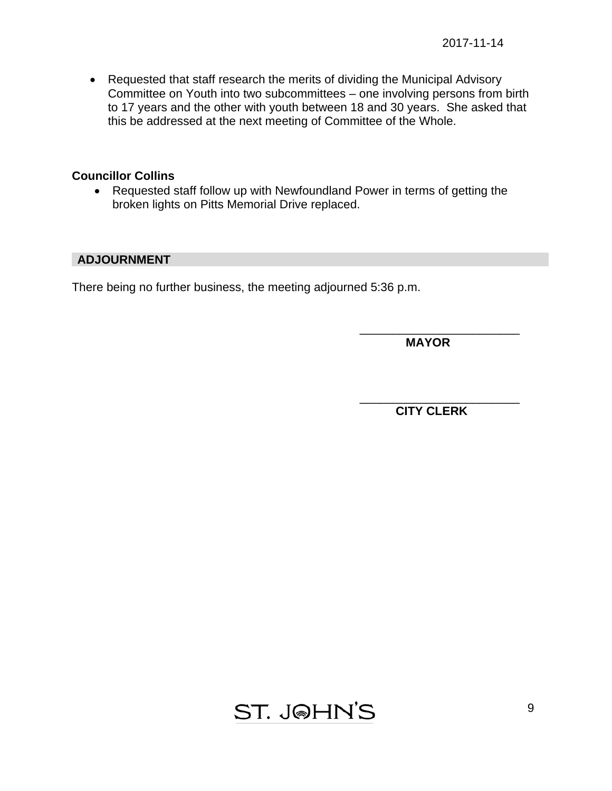Requested that staff research the merits of dividing the Municipal Advisory Committee on Youth into two subcommittees – one involving persons from birth to 17 years and the other with youth between 18 and 30 years. She asked that this be addressed at the next meeting of Committee of the Whole.

#### **Councillor Collins**

• Requested staff follow up with Newfoundland Power in terms of getting the broken lights on Pitts Memorial Drive replaced.

 $\overline{\phantom{a}}$  , which is a set of the contract of the contract of the contract of the contract of the contract of the contract of the contract of the contract of the contract of the contract of the contract of the contract

 $\overline{\phantom{a}}$  , and the contract of the contract of the contract of the contract of the contract of the contract of the contract of the contract of the contract of the contract of the contract of the contract of the contrac

#### **ADJOURNMENT**

There being no further business, the meeting adjourned 5:36 p.m.

 **MAYOR** 

 **CITY CLERK** 

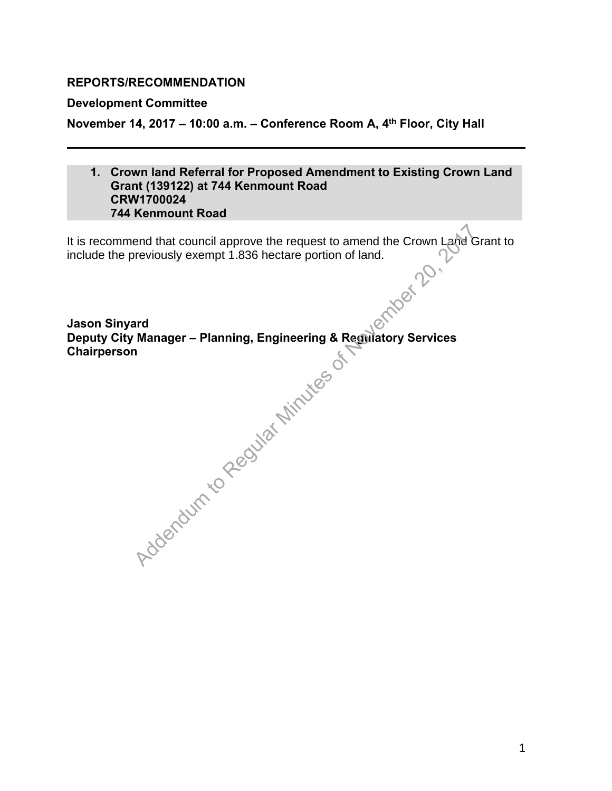#### <span id="page-9-0"></span>**REPORTS/RECOMMENDATION**

#### **Development Committee**

**November 14, 2017 – 10:00 a.m. – Conference Room A, 4th Floor, City Hall** 

#### **1. Crown land Referral for Proposed Amendment to Existing Crown Land Grant (139122) at 744 Kenmount Road CRW1700024 744 Kenmount Road**

It is recommend that council approve the request to amend the Crown Land Grant to<br>include the previously exempt 1.836 hectare portion of land.<br>Jason Sinyard<br>Denuit include the previously exempt 1.836 hectare portion of land.

**Jason Sinyard Deputy City Manager – Planning, Engineering & Regulatory Services Chairperson**  Addendum to Regular Minutes of New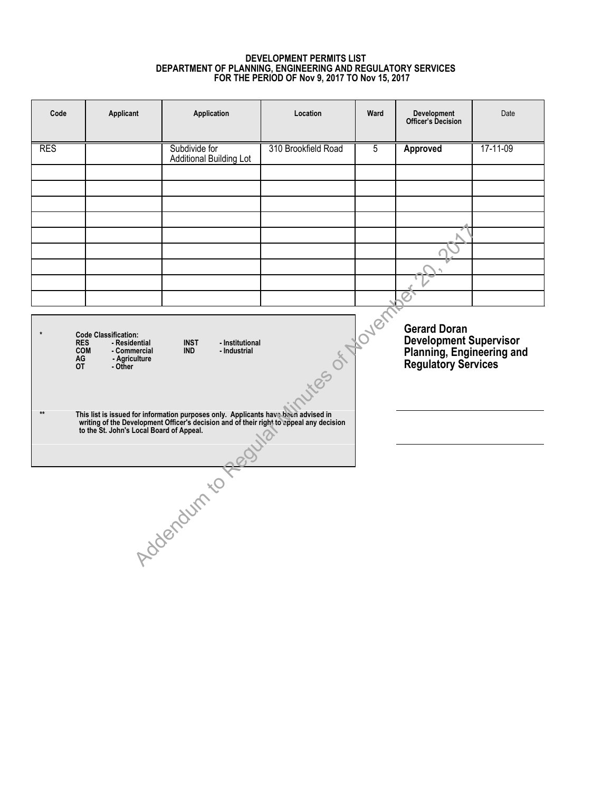#### **DEVELOPMENT PERMITS LIST DEPARTMENT OF PLANNING, ENGINEERING AND REGULATORY SERVICES FOR THE PERIOD OF Nov 9, 2017 TO Nov 15, 2017**

<span id="page-10-0"></span>

| Code                                                                                                                                                                                                                           | Applicant | Application                                     | Location            | Ward | Development<br><b>Officer's Decision</b>                                                          | Date     |  |
|--------------------------------------------------------------------------------------------------------------------------------------------------------------------------------------------------------------------------------|-----------|-------------------------------------------------|---------------------|------|---------------------------------------------------------------------------------------------------|----------|--|
| <b>RES</b>                                                                                                                                                                                                                     |           | Subdivide for<br><b>Additional Building Lot</b> | 310 Brookfield Road | 5    | <b>Approved</b>                                                                                   | 17-11-09 |  |
|                                                                                                                                                                                                                                |           |                                                 |                     |      |                                                                                                   |          |  |
|                                                                                                                                                                                                                                |           |                                                 |                     |      |                                                                                                   |          |  |
|                                                                                                                                                                                                                                |           |                                                 |                     |      |                                                                                                   |          |  |
|                                                                                                                                                                                                                                |           |                                                 |                     |      |                                                                                                   |          |  |
|                                                                                                                                                                                                                                |           |                                                 |                     |      |                                                                                                   |          |  |
|                                                                                                                                                                                                                                |           |                                                 |                     |      |                                                                                                   |          |  |
|                                                                                                                                                                                                                                |           |                                                 |                     |      |                                                                                                   |          |  |
| ites of Novem<br>$\star$<br><b>Code Classification:</b><br><b>INST</b><br>- Institutional<br>- Residential<br><b>RES</b><br><b>COM</b><br>- Commercial<br><b>IND</b><br>- Industrial<br>AG<br>- Agriculture<br>0T<br>- Other   |           |                                                 |                     |      | <b>Gerard Doran</b><br>Development Supervisor<br>Planning, Engineering and<br>Regulatory Services |          |  |
| $**$<br>This list is issued for information purposes only. Applicants have been advised in writing of the Development Officer's decision and of their right to appeal any decision<br>to the St. John's Local Board of Appeal. |           |                                                 |                     |      |                                                                                                   |          |  |
|                                                                                                                                                                                                                                |           |                                                 |                     |      |                                                                                                   |          |  |
|                                                                                                                                                                                                                                |           | tdoendum to                                     |                     |      |                                                                                                   |          |  |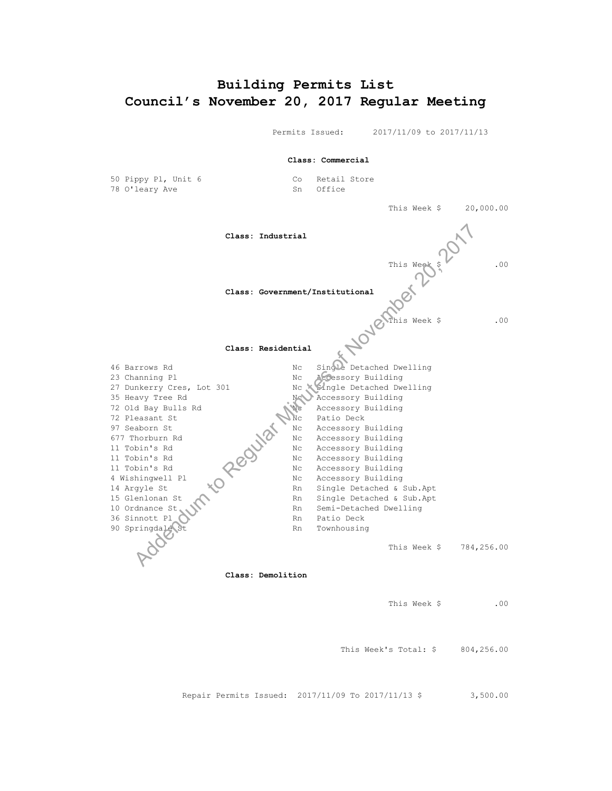# <span id="page-11-0"></span>**Building Permits List Council's November 20, 2017 Regular Meeting**

Permits Issued: 2017/11/09 to 2017/11/13

**Class: Commercial**

50 Pippy Pl, Unit 6 Co Retail Store<br>
78 O'leary Ave Co Sn Office 78 O'leary Ave

This Week \$ 20,000.00

**Class: Industrial**

This Week \$ .00

This Week \$ .00

#### **Class: Residential**

**Class: Government/Institutional**

46 Barrows Rd No Communication Communication Nc Single Detached Dwelling 23 Channing Pl **No. 22 Constant Pl Accessory Building** 27 Dunkerry Cres, Lot 301 Nc Single Detached Dwelling 35 Heavy Tree Rd New Accessory Building<br>72 Old Bay Bulls Rd New Accessory Building 72 Old Bay Bulls Rd Ne Accessory Building 72 Pleasant St Nc Patio Deck 97 Seaborn St Nc Accessory Building 677 Thorburn Rd  $NQ^*$  Nc Accessory Building 11 Tobin's Rd NC Accessory Building 11 Tobin's Rd  $\bigcirc$   $\bigcirc$  Nc Accessory Building 11 Tobin's Rd Nc Accessory Building 4 Wishingwell Pl Nc Accessory Building 14 Argyle St  $\bigcup$  Rn Single Detached & Sub.Apt 15 Glenlonan St Rn Single Detached & Sub.Apt 10 Ordnance St Rn Semi-Detached Dwelling Rn Semi-Detached Dwelling 36 Sinnott Pl Rn Patio Deck<br>90 Springdale St Rn Townhousing ngdale St<br>Rn Townhousing<br>Company Rn Townhousing This Week \$ 784,256.00 Class: Industrial<br>
This Weyler<br>
This Weyler<br>
Class: Government/Institutional<br>
This Week<br>
Class: Residential<br>
November 2017<br>
November 2017<br>
November 2017<br>
November 2017<br>
November 2017<br>
November 2017<br>
November 21, 2017<br>
Nov

**Class: Demolition**

This Week \$ .00

This Week's Total:  $$804,256.00$ 

Repair Permits Issued: 2017/11/09 To 2017/11/13 \$ 3,500.00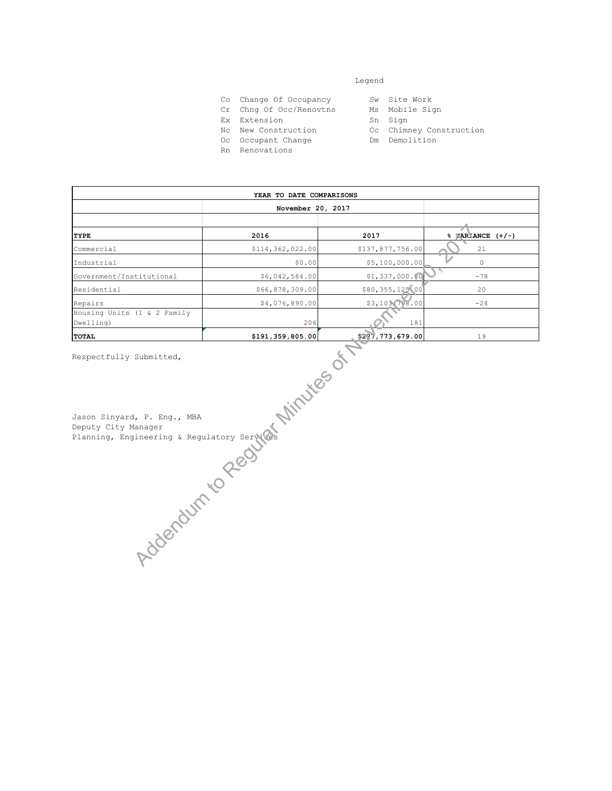#### Legend

- Co Change Of Occupancy Sw Site Work<br>Cr Chng Of Occ/Renovtns Ms Mobile Sign
- Cr Chng Of Occ/Renovtns Ms Mobil<br>Ex Extension Sn Sign
- Ex Extension
- Nc New Construction Cc Chimney Construction
- Oc Occupant Change Manuel Dm Demolition
- 
- 
- Rn Renovations
- 
- 
- 
- 

|                                                                                                | YEAR TO DATE COMPARISONS |                  |                      |  |  |  |  |
|------------------------------------------------------------------------------------------------|--------------------------|------------------|----------------------|--|--|--|--|
|                                                                                                | November 20, 2017        |                  |                      |  |  |  |  |
|                                                                                                |                          |                  |                      |  |  |  |  |
| TYPE                                                                                           | 2016                     | 2017             | $%$ WAR ANCE $(+/-)$ |  |  |  |  |
| Commercial                                                                                     | \$114,362,022.00         | \$137,877,756.00 | 21                   |  |  |  |  |
| Industrial                                                                                     | \$0.00                   | \$5,100,000.00   | $\circ$              |  |  |  |  |
| Government/Institutional                                                                       | \$6,042,584.00           | \$1,337,000.00   | $-78$                |  |  |  |  |
| Residential                                                                                    | \$66,878,309.00          | \$80,355,125 00  | 20                   |  |  |  |  |
| Repairs                                                                                        | \$4,076,890.00           | \$3,103,798.00   | $-24$                |  |  |  |  |
| Housing Units (1 & 2 Family<br>Dwelling)                                                       | 206                      | 181              |                      |  |  |  |  |
| TOTAL                                                                                          | \$191,359,805.00         | \$227,773,679.00 | 19                   |  |  |  |  |
| Jon Sinyard, P. Eng., MBA<br>Deputy City Manager<br>Hanning, Engineering & Regulatory Services |                          |                  |                      |  |  |  |  |